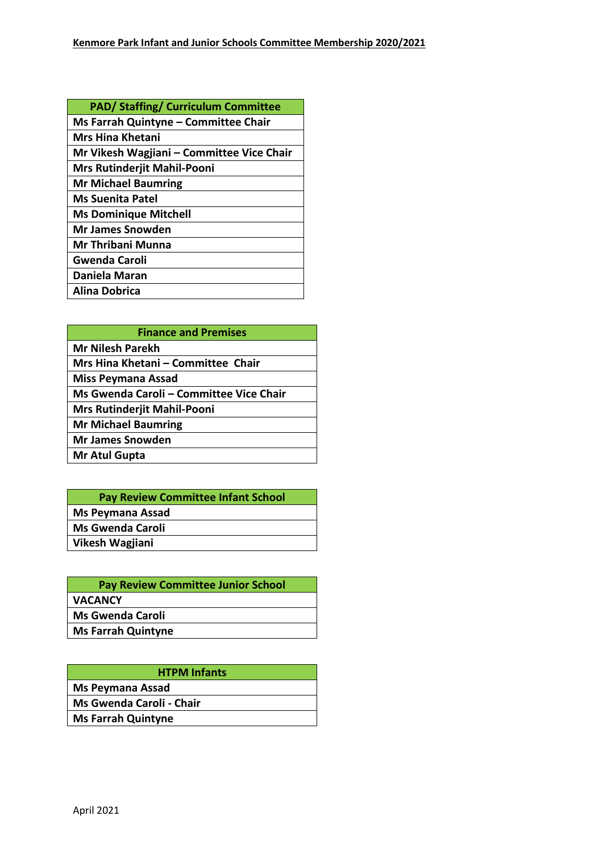| <b>PAD/ Staffing/ Curriculum Committee</b> |
|--------------------------------------------|
| Ms Farrah Quintyne - Committee Chair       |
| <b>Mrs Hina Khetani</b>                    |
| Mr Vikesh Wagjiani - Committee Vice Chair  |
| <b>Mrs Rutinderjit Mahil-Pooni</b>         |
| <b>Mr Michael Baumring</b>                 |
| <b>Ms Suenita Patel</b>                    |
| <b>Ms Dominique Mitchell</b>               |
| <b>Mr James Snowden</b>                    |
| Mr Thribani Munna                          |
| <b>Gwenda Caroli</b>                       |
| Daniela Maran                              |
| Alina Dobrica                              |

| <b>Finance and Premises</b>             |  |
|-----------------------------------------|--|
| <b>Mr Nilesh Parekh</b>                 |  |
| Mrs Hina Khetani - Committee Chair      |  |
| <b>Miss Peymana Assad</b>               |  |
| Ms Gwenda Caroli - Committee Vice Chair |  |
| <b>Mrs Rutinderjit Mahil-Pooni</b>      |  |
| <b>Mr Michael Baumring</b>              |  |
| <b>Mr James Snowden</b>                 |  |
| Mr Atul Gupta                           |  |

| <b>Pay Review Committee Infant School</b> |
|-------------------------------------------|
| <b>Ms Peymana Assad</b>                   |
| <b>Ms Gwenda Caroli</b>                   |
| Vikesh Wagjiani                           |

| <b>Pay Review Committee Junior School</b> |
|-------------------------------------------|
| <b>VACANCY</b>                            |
| <b>Ms Gwenda Caroli</b>                   |
| <b>Ms Farrah Quintyne</b>                 |
|                                           |

| <b>HTPM Infants</b>       |
|---------------------------|
| Ms Peymana Assad          |
| Ms Gwenda Caroli - Chair  |
| <b>Ms Farrah Quintyne</b> |